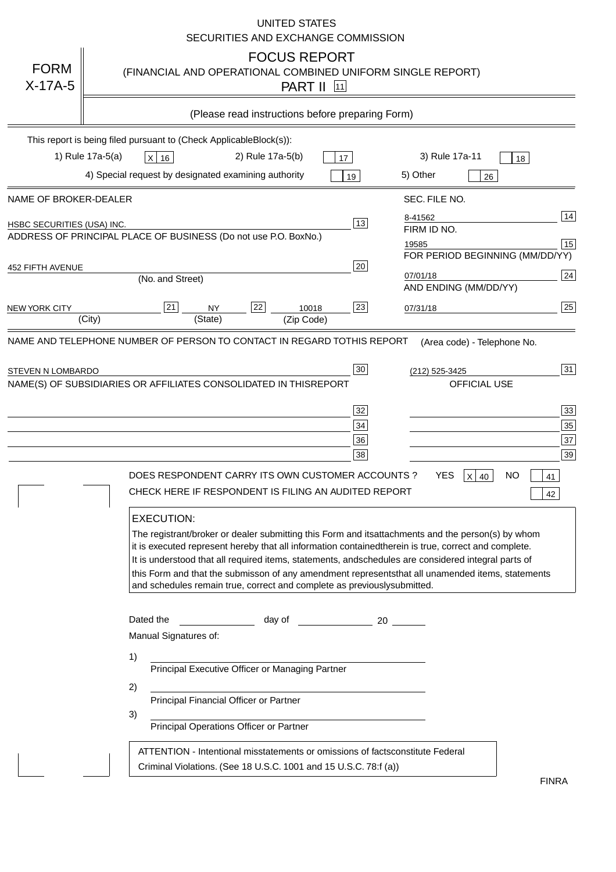|                            | <b>UNITED STATES</b><br>SECURITIES AND EXCHANGE COMMISSION                                                                                                                                                                                                                                                                                                                                                                                                                                                                                                                                          |
|----------------------------|-----------------------------------------------------------------------------------------------------------------------------------------------------------------------------------------------------------------------------------------------------------------------------------------------------------------------------------------------------------------------------------------------------------------------------------------------------------------------------------------------------------------------------------------------------------------------------------------------------|
| <b>FORM</b><br>$X-17A-5$   | <b>FOCUS REPORT</b><br>(FINANCIAL AND OPERATIONAL COMBINED UNIFORM SINGLE REPORT)<br><b>PART II</b> [11]                                                                                                                                                                                                                                                                                                                                                                                                                                                                                            |
|                            | (Please read instructions before preparing Form)                                                                                                                                                                                                                                                                                                                                                                                                                                                                                                                                                    |
|                            | This report is being filed pursuant to (Check Applicable<br>$Block(s)$ :<br>1) Rule 17a-5(a)<br>3) Rule 17a-11<br>2) Rule 17a-5(b)<br>$X$ 16<br>17<br>18<br>4) Special request by designated examining authority<br>5) Other<br>19<br>26                                                                                                                                                                                                                                                                                                                                                            |
| NAME OF BROKER-DEALER      | SEC. FILE NO.                                                                                                                                                                                                                                                                                                                                                                                                                                                                                                                                                                                       |
| HSBC SECURITIES (USA) INC. | 14<br>8-41562<br>13<br>FIRM ID NO.<br>ADDRESS OF PRINCIPAL PLACE OF BUSINESS (Do not use P.O. Box<br>No.)<br>15<br>19585<br>FOR PERIOD BEGINNING (MM/DD/YY)                                                                                                                                                                                                                                                                                                                                                                                                                                         |
| <b>452 FIFTH AVENUE</b>    | 20<br> 24 <br>07/01/18<br>(No. and Street)<br>AND ENDING (MM/DD/YY)                                                                                                                                                                                                                                                                                                                                                                                                                                                                                                                                 |
| <b>NEW YORK CITY</b>       | 25<br>22<br>21<br>23<br><b>NY</b><br>10018<br>07/31/18<br>(City)<br>(State)<br>(Zip Code)                                                                                                                                                                                                                                                                                                                                                                                                                                                                                                           |
| STEVEN N LOMBARDO          | 31<br>30<br>(212) 525-3425<br>NAME(S) OF SUBSIDIARIES OR AFFILIATES CONSOLIDATED IN THIS<br><b>REPORT</b><br><b>OFFICIAL USE</b><br>$\overline{33}$<br>32<br>35<br>$34$<br>37<br>36<br>39<br>38<br>$X$ 40<br>DOES RESPONDENT CARRY ITS OWN CUSTOMER ACCOUNTS?<br>YES<br>NO<br>41<br>CHECK HERE IF RESPONDENT IS FILING AN AUDITED REPORT<br>42<br><b>EXECUTION:</b><br>The registrant/broker or dealer submitting this Form and its<br>attachments and the person(s) by whom<br>it is executed represent hereby that all information contained<br>therein is true, correct and complete.            |
|                            | It is understood that all required items, statements, and<br>schedules are considered integral parts of<br>this Form and that the submisson of any amendment represents<br>that all unamended items, statements<br>and schedules remain true, correct and complete as previously<br>submitted.<br>Dated the<br>day of<br>20<br>Manual Signatures of:<br>1)<br>Principal Executive Officer or Managing Partner<br>2)<br>Principal Financial Officer or Partner<br>3)<br>Principal Operations Officer or Partner<br>constitute Federal<br>ATTENTION - Intentional misstatements or omissions of facts |
|                            | Criminal Violations. (See 18 U.S.C. 1001 and 15 U.S.C. 78:f (a)<br>$\lambda$<br><b>FINRA</b>                                                                                                                                                                                                                                                                                                                                                                                                                                                                                                        |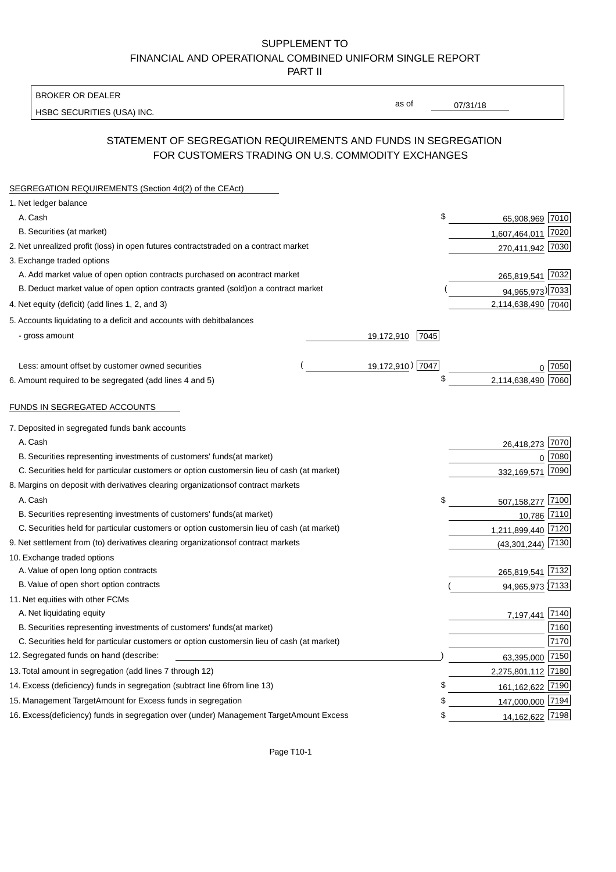BROKER OR DEALER

HSBC SECURITIES (USA) INC.

07/31/18

as of

## STATEMENT OF SEGREGATION REQUIREMENTS AND FUNDS IN SEGREGATION FOR CUSTOMERS TRADING ON U.S. COMMODITY EXCHANGES

| SEGREGATION REQUIREMENTS (Section 4d(2) of the CEAct)                                          |                    |                    |      |
|------------------------------------------------------------------------------------------------|--------------------|--------------------|------|
| 1. Net ledger balance                                                                          |                    |                    |      |
| A. Cash                                                                                        | \$                 | 65,908,969 7010    |      |
| B. Securities (at market)                                                                      |                    | 1,607,464,011 7020 |      |
| 2. Net unrealized profit (loss) in open futures contracts<br>traded on a contract market       |                    | 270,411,942 7030   |      |
| 3. Exchange traded options                                                                     |                    |                    |      |
| A. Add market value of open option contracts purchased on a<br>contract market                 |                    | 265,819,541 7032   |      |
| B. Deduct market value of open option contracts granted (sold)<br>on a contract market         |                    | 94,965,973) 7033   |      |
| 4. Net equity (deficit) (add lines 1, 2, and 3)                                                |                    | 2,114,638,490 7040 |      |
| 5. Accounts liquidating to a deficit and accounts with debit<br>balances                       |                    |                    |      |
| - gross amount                                                                                 | 7045<br>19,172,910 |                    |      |
|                                                                                                |                    |                    |      |
| Less: amount offset by customer owned securities                                               | 19,172,910) 7047   |                    | 7050 |
| 6. Amount required to be segregated (add lines 4 and 5)                                        | \$                 | 2,114,638,490      | 7060 |
|                                                                                                |                    |                    |      |
| FUNDS IN SEGREGATED ACCOUNTS                                                                   |                    |                    |      |
| 7. Deposited in segregated funds bank accounts                                                 |                    |                    |      |
| A. Cash                                                                                        |                    | 26,418,273 7070    |      |
| B. Securities representing investments of customers' funds<br>(at market)                      |                    | $\Omega$           | 7080 |
| C. Securities held for particular customers or option customers<br>in lieu of cash (at market) |                    | 332,169,571        | 7090 |
| 8. Margins on deposit with derivatives clearing organizations<br>of contract markets           |                    |                    |      |
| A. Cash                                                                                        | \$                 | 507,158,277 7100   |      |
| B. Securities representing investments of customers' funds<br>(at market)                      |                    | 10,786 7110        |      |
| C. Securities held for particular customers or option customers<br>in lieu of cash (at market) |                    | 1,211,899,440 7120 |      |
| 9. Net settlement from (to) derivatives clearing organizations<br>of contract markets          |                    | (43, 301, 244)     | 7130 |
| 10. Exchange traded options                                                                    |                    |                    |      |
| A. Value of open long option contracts                                                         |                    | 265,819,541 7132   |      |
| B. Value of open short option contracts                                                        |                    | 94,965,973 7133    |      |
| 11. Net equities with other FCMs                                                               |                    |                    |      |
| A. Net liquidating equity                                                                      |                    | 7,197,441 7140     |      |
| B. Securities representing investments of customers' funds<br>(at market)                      |                    |                    | 7160 |
| C. Securities held for particular customers or option customers<br>in lieu of cash (at market) |                    |                    | 7170 |
| 12. Segregated funds on hand (describe:                                                        |                    | 63,395,000 7150    |      |
| 13. Total amount in segregation (add lines 7 through 12)                                       |                    | 2,275,801,112 7180 |      |
| 14. Excess (deficiency) funds in segregation (subtract line 6 from line 13)                    | \$                 | 161, 162, 622 7190 |      |
| 15. Management Target Amount for Excess funds in segregation                                   | \$                 | 147,000,000 7194   |      |
| 16. Excess (deficiency) funds in segregation over (under) Management Target Amount Excess      | \$                 | 14,162,622 7198    |      |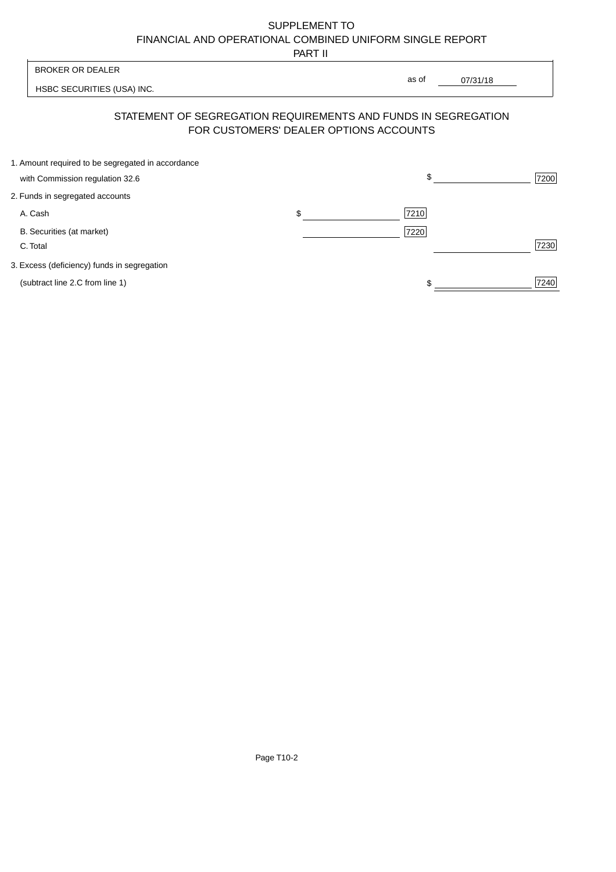PART II

| <b>BROKER OR DEALER</b>                                                                                  | as of |          |      |
|----------------------------------------------------------------------------------------------------------|-------|----------|------|
| HSBC SECURITIES (USA) INC.                                                                               |       | 07/31/18 |      |
| STATEMENT OF SEGREGATION REQUIREMENTS AND FUNDS IN SEGREGATION<br>FOR CUSTOMERS' DEALER OPTIONS ACCOUNTS |       |          |      |
| 1. Amount required to be segregated in accordance                                                        |       |          |      |
| with Commission regulation 32.6                                                                          |       |          | 7200 |

| 2. Funds in segregated accounts             |    |      |      |
|---------------------------------------------|----|------|------|
| A. Cash                                     | ъĐ | 7210 |      |
| B. Securities (at market)<br>C. Total       |    | 7220 | 7230 |
| 3. Excess (deficiency) funds in segregation |    |      |      |
| (subtract line 2.C from line 1)             |    | \$   | 7240 |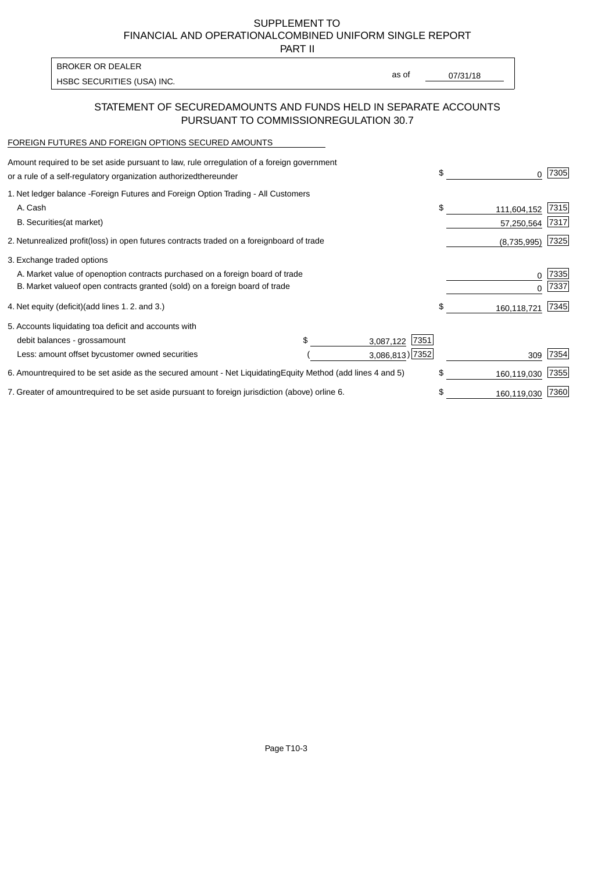PART II

HSBC SECURITIES (USA) INC. The state of the second second in the second second second in the second second second second second second second second second second second second second second second second second second sec BROKER OR DEALER

as of

### STATEMENT OF SECURED AMOUNTS AND FUNDS HELD IN SEPARATE ACCOUNTS PURSUANT TO COMMISSION REGULATION 30.7

#### FOREIGN FUTURES AND FOREIGN OPTIONS SECURED AMOUNTS

| Amount required to be set aside pursuant to law, rule or<br>regulation of a foreign government<br>or a rule of a self-regulatory organization authorized<br>thereunder                       | \$                                   | O.                        | 7305         |
|----------------------------------------------------------------------------------------------------------------------------------------------------------------------------------------------|--------------------------------------|---------------------------|--------------|
| 1. Net ledger balance - Foreign Futures and Foreign Option Trading - All Customers<br>A. Cash<br><b>B.</b> Securities<br>(at market)                                                         | \$                                   | 111,604,152<br>57,250,564 | 7315<br>7317 |
| 2. Net unrealized profit (loss) in open futures contracts traded on a foreign<br>board of trade                                                                                              |                                      | (8,735,995)               | 7325         |
| 3. Exchange traded options<br>A. Market value of open option contracts purchased on a foreign board of trade<br>B. Market value of open contracts granted (sold) on a foreign board of trade |                                      | 0<br><sup>0</sup>         | 7335<br>7337 |
| 4. Net equity (deficit) (add lines 1.2. and 3.)                                                                                                                                              | \$                                   | 160,118,721               | 7345         |
| 5. Accounts liquidating to a deficit and accounts with<br>\$.<br>debit balances - gross<br>amount<br>Less: amount offset by customer owned securities                                        | 7351<br>3,087,122<br>3,086,813) 7352 | 309                       | 7354         |
| 6. Amount required to be set aside as the secured amount - Net Liquidating<br>Equity Method (add lines 4 and 5)                                                                              | \$                                   | 160,119,030               | 7355         |
| 7. Greater of amount required to be set aside pursuant to foreign jurisdiction (above) or<br>line 6.                                                                                         | \$                                   | 160,119,030               | 7360         |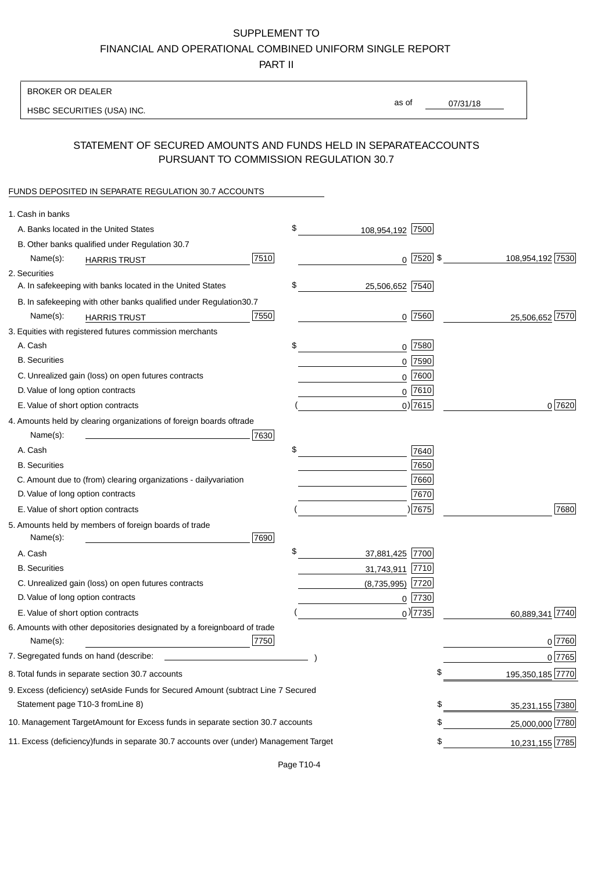PART II

| <b>BROKER OR DEALER</b>                                                                           |                        |               |                 |                  |
|---------------------------------------------------------------------------------------------------|------------------------|---------------|-----------------|------------------|
| HSBC SECURITIES (USA) INC.                                                                        | as of                  |               | 07/31/18        |                  |
|                                                                                                   |                        |               |                 |                  |
| STATEMENT OF SECURED AMOUNTS AND FUNDS HELD IN SEPARATE<br>PURSUANT TO COMMISSION REGULATION 30.7 |                        |               | <b>ACCOUNTS</b> |                  |
| FUNDS DEPOSITED IN SEPARATE REGULATION 30.7 ACCOUNTS                                              |                        |               |                 |                  |
| 1. Cash in banks                                                                                  |                        |               |                 |                  |
| A. Banks located in the United States                                                             | \$<br>108,954,192 7500 |               |                 |                  |
| B. Other banks qualified under Regulation 30.7                                                    |                        |               |                 |                  |
| 7510<br>Name(s):<br><b>HARRIS TRUST</b>                                                           |                        | $0$  7520  \$ |                 | 108,954,192 7530 |
| 2. Securities                                                                                     |                        |               |                 |                  |
| A. In safekeeping with banks located in the United States                                         | \$<br>25,506,652 7540  |               |                 |                  |
| B. In safekeeping with other banks qualified under Regulation<br>30.7                             |                        |               |                 |                  |
| 7550<br>Name(s):<br><b>HARRIS TRUST</b>                                                           |                        | $0$ 7560      |                 | 25,506,652 7570  |
| 3. Equities with registered futures commission merchants                                          |                        |               |                 |                  |
| A. Cash                                                                                           | \$                     | $0$ 7580      |                 |                  |
| <b>B.</b> Securities                                                                              |                        | $0$ 7590      |                 |                  |
| C. Unrealized gain (loss) on open futures contracts                                               |                        | $0$ 7600      |                 |                  |
| D. Value of long option contracts                                                                 |                        | $0$ 7610      |                 |                  |
| E. Value of short option contracts                                                                |                        | $0$ ) 7615    |                 | 0 7620           |
| 4. Amounts held by clearing organizations of foreign boards of<br>trade                           |                        |               |                 |                  |
| Name(s):<br>7630                                                                                  |                        |               |                 |                  |
| A. Cash                                                                                           | \$                     | 7640          |                 |                  |
| <b>B.</b> Securities                                                                              |                        | 7650          |                 |                  |
| C. Amount due to (from) clearing organizations - daily<br>variation                               |                        | 7660          |                 |                  |
| D. Value of long option contracts                                                                 |                        | 7670          |                 |                  |
| E. Value of short option contracts                                                                |                        | )7675         |                 | 7680             |
| 5. Amounts held by members of foreign boards of trade<br>Name(s):<br>7690                         |                        |               |                 |                  |
| A. Cash                                                                                           | \$<br>37,881,425 7700  |               |                 |                  |
| <b>B.</b> Securities                                                                              | 31,743,911             | 7710          |                 |                  |
| C. Unrealized gain (loss) on open futures contracts                                               | $(8,735,995)$ 7720     |               |                 |                  |
| D. Value of long option contracts                                                                 |                        | $0$  7730     |                 |                  |
| E. Value of short option contracts                                                                |                        | $_0$ ) 7735   |                 | 60,889,341 7740  |
| 6. Amounts with other depositories designated by a foreign<br>board of trade<br>7750<br>Name(s):  |                        |               |                 | 0 7760           |
| 7. Segregated funds on hand (describe:                                                            |                        |               |                 | 0 7765           |
| 8. Total funds in separate section 30.7 accounts                                                  |                        |               | \$              | 195,350,185 7770 |
| 9. Excess (deficiency) set Aside Funds for Secured Amount (subtract Line 7 Secured                |                        |               |                 |                  |
| Statement page T10-3 from Line 8)                                                                 |                        |               | \$              | 35,231,155 7380  |
| 10. Management Target Amount for Excess funds in separate section 30.7 accounts                   |                        |               | \$              | 25,000,000 7780  |
|                                                                                                   |                        |               |                 |                  |
| 11. Excess (deficiency) funds in separate 30.7 accounts over (under) Management Target            |                        |               | \$              | 10,231,155 7785  |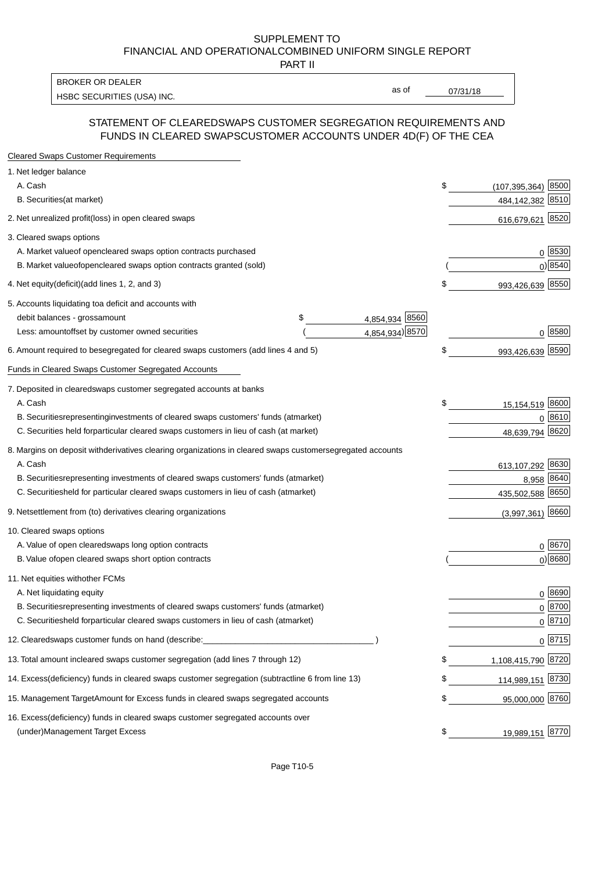PART II

HSBC SECURITIES (USA) INC. The contract of the contract of the contract of the contract of the contract of the contract of the contract of the contract of the contract of the contract of the contract of the contract of the BROKER OR DEALER

as of

#### STATEMENT OF CLEARED SWAPS CUSTOMER SEGREGATION REQUIREMENTS AND FUNDS IN CLEARED SWAPS CUSTOMER ACCOUNTS UNDER 4D(F) OF THE CEA

| <b>Cleared Swaps Customer Requirements</b>                                                                  |    |                         |
|-------------------------------------------------------------------------------------------------------------|----|-------------------------|
| 1. Net ledger balance                                                                                       |    |                         |
| A. Cash                                                                                                     | \$ | 8500<br>(107, 395, 364) |
| B. Securities (at market)                                                                                   |    | 484, 142, 382 8510      |
| 2. Net unrealized profit (loss) in open cleared swaps                                                       |    | 616,679,621 8520        |
| 3. Cleared swaps options                                                                                    |    |                         |
| A. Market value of open cleared swaps option contracts purchased                                            |    | 0   8530                |
| B. Market value of open cleared swaps option contracts granted (sold)                                       |    | $0)$ 8540               |
| 4. Net equity (deficit) (add lines 1, 2, and 3)                                                             | \$ | 993,426,639 8550        |
| 5. Accounts liquidating to a deficit and accounts with                                                      |    |                         |
| 4,854,934 8560<br>debit balances - gross<br>\$<br>amount                                                    |    |                         |
| 4,854,934) 8570<br>Less: amount offset by customer owned securities                                         |    | 0 8580                  |
| 6. Amount required to be segregated for cleared swaps customers (add lines 4 and 5)                         | \$ | 993,426,639 8590        |
| Funds in Cleared Swaps Customer Segregated Accounts                                                         |    |                         |
| 7. Deposited in cleared swaps customer segregated accounts at banks                                         |    |                         |
| A. Cash                                                                                                     | \$ | 15,154,519 8600         |
| B. Securities representing investments of cleared swaps customers' funds (at market)                        |    | 0 8610                  |
| C. Securities held for particular cleared swaps customers in lieu of cash (at market)                       |    | 8620<br>48,639,794      |
| 8. Margins on deposit with derivatives clearing organizations in cleared swaps customer segregated accounts |    |                         |
| A. Cash                                                                                                     |    | 613,107,292 8630        |
| representing investments of cleared swaps customers' funds (at market)<br><b>B.</b> Securities              |    | 8640<br>8,958           |
| C. Securities held for particular cleared swaps customers in lieu of cash (at market)                       |    | 435,502,588 8650        |
| 9. Net settlement from (to) derivatives clearing organizations                                              |    | $(3,997,361)$ 8660      |
| 10. Cleared swaps options                                                                                   |    |                         |
| A. Value of open cleared swaps long option contracts                                                        |    | $0^{8670}$              |
| B. Value of open cleared swaps short option contracts                                                       |    | $0$ ) 8680              |
| 11. Net equities with other FCMs                                                                            |    |                         |
| A. Net liquidating equity                                                                                   |    | $0^{8690}$              |
| B. Securities representing investments of cleared swaps customers' funds (at market)                        |    | $0^{8700}$              |
| C. Securities held for particular cleared swaps customers in lieu of cash (at market)                       |    | 0 8710                  |
| 12. Cleared swaps customer funds on hand (describe:                                                         |    | $0 \;  8715 $           |
| 13. Total amount in cleared swaps customer segregation (add lines 7 through 12)                             | S  | 1,108,415,790 8720      |
| 14. Excess (deficiency) funds in cleared swaps customer segregation (subtract line 6 from line 13)          |    | 114,989,151 8730        |
| 15. Management Target Amount for Excess funds in cleared swaps segregated accounts                          | \$ | 95,000,000 8760         |
| 16. Excess<br>(deficiency) funds in cleared swaps customer segregated accounts over                         |    |                         |
| <b>Management Target Excess</b><br>(under)                                                                  | \$ | 19,989,151 8770         |